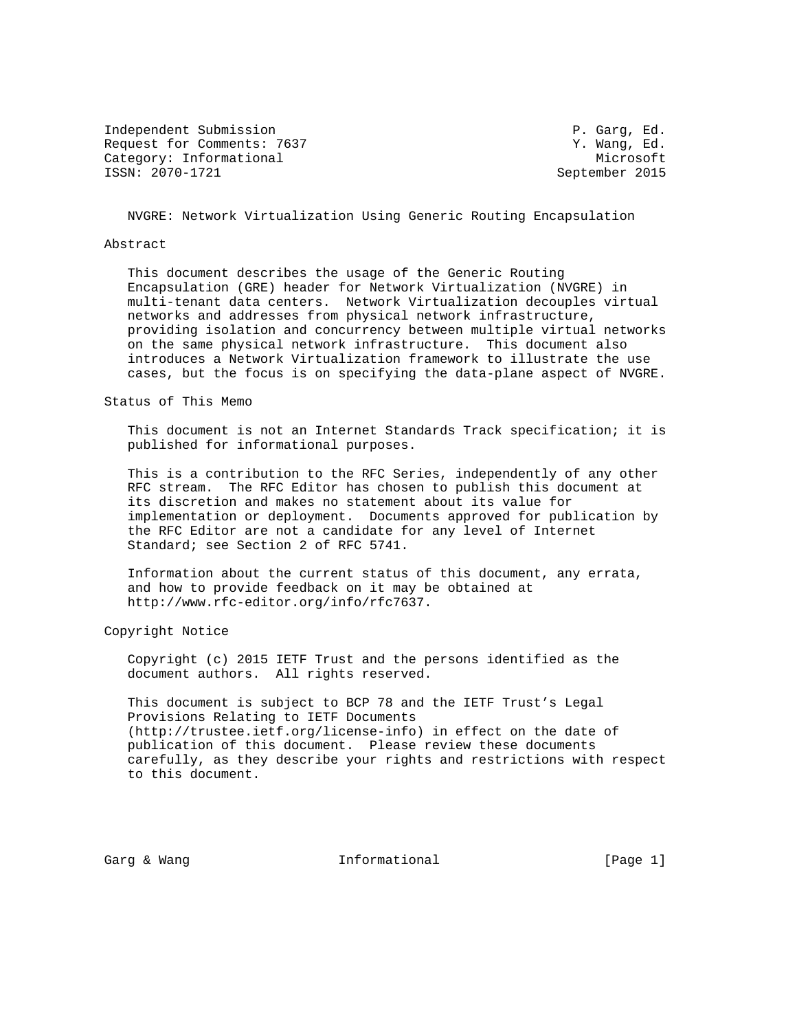Independent Submission **P. Garg, Ed.** P. Garg, Ed. Request for Comments: 7637 Y. Wang, Ed. Category: Informational Microsoft Microsoft ISSN: 2070-1721 September 2015

NVGRE: Network Virtualization Using Generic Routing Encapsulation

#### Abstract

 This document describes the usage of the Generic Routing Encapsulation (GRE) header for Network Virtualization (NVGRE) in multi-tenant data centers. Network Virtualization decouples virtual networks and addresses from physical network infrastructure, providing isolation and concurrency between multiple virtual networks on the same physical network infrastructure. This document also introduces a Network Virtualization framework to illustrate the use cases, but the focus is on specifying the data-plane aspect of NVGRE.

Status of This Memo

 This document is not an Internet Standards Track specification; it is published for informational purposes.

 This is a contribution to the RFC Series, independently of any other RFC stream. The RFC Editor has chosen to publish this document at its discretion and makes no statement about its value for implementation or deployment. Documents approved for publication by the RFC Editor are not a candidate for any level of Internet Standard; see Section 2 of RFC 5741.

 Information about the current status of this document, any errata, and how to provide feedback on it may be obtained at http://www.rfc-editor.org/info/rfc7637.

Copyright Notice

 Copyright (c) 2015 IETF Trust and the persons identified as the document authors. All rights reserved.

 This document is subject to BCP 78 and the IETF Trust's Legal Provisions Relating to IETF Documents (http://trustee.ietf.org/license-info) in effect on the date of publication of this document. Please review these documents carefully, as they describe your rights and restrictions with respect to this document.

Garg & Wang  $I_n$  Informational (Page 1)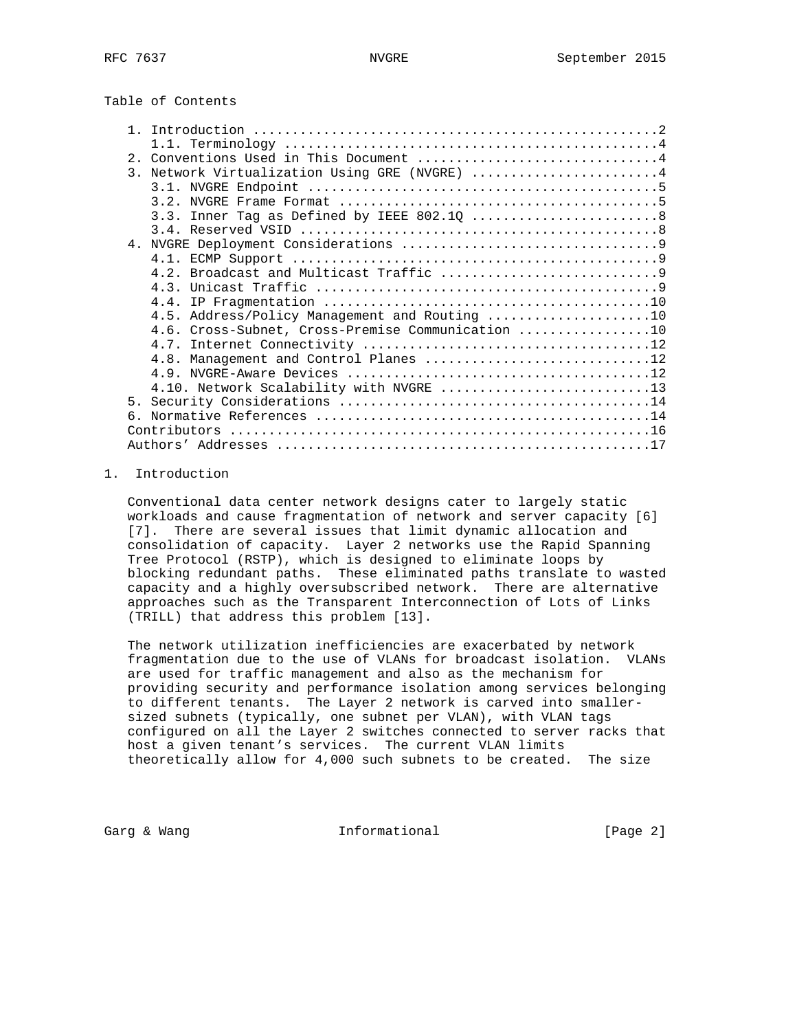| 2. Conventions Used in This Document 4            |
|---------------------------------------------------|
| 3. Network Virtualization Using GRE (NVGRE) 4     |
|                                                   |
|                                                   |
|                                                   |
|                                                   |
|                                                   |
|                                                   |
|                                                   |
|                                                   |
|                                                   |
| 4.5. Address/Policy Management and Routing 10     |
| 4.6. Cross-Subnet, Cross-Premise Communication 10 |
|                                                   |
| 4.8. Management and Control Planes 12             |
|                                                   |
| 4.10. Network Scalability with NVGRE 13           |
|                                                   |
|                                                   |
|                                                   |
|                                                   |

# 1. Introduction

 Conventional data center network designs cater to largely static workloads and cause fragmentation of network and server capacity [6] [7]. There are several issues that limit dynamic allocation and consolidation of capacity. Layer 2 networks use the Rapid Spanning Tree Protocol (RSTP), which is designed to eliminate loops by blocking redundant paths. These eliminated paths translate to wasted capacity and a highly oversubscribed network. There are alternative approaches such as the Transparent Interconnection of Lots of Links (TRILL) that address this problem [13].

 The network utilization inefficiencies are exacerbated by network fragmentation due to the use of VLANs for broadcast isolation. VLANs are used for traffic management and also as the mechanism for providing security and performance isolation among services belonging to different tenants. The Layer 2 network is carved into smaller sized subnets (typically, one subnet per VLAN), with VLAN tags configured on all the Layer 2 switches connected to server racks that host a given tenant's services. The current VLAN limits theoretically allow for 4,000 such subnets to be created. The size

Garg & Wang  $\qquad \qquad$  Informational  $\qquad \qquad$  [Page 2]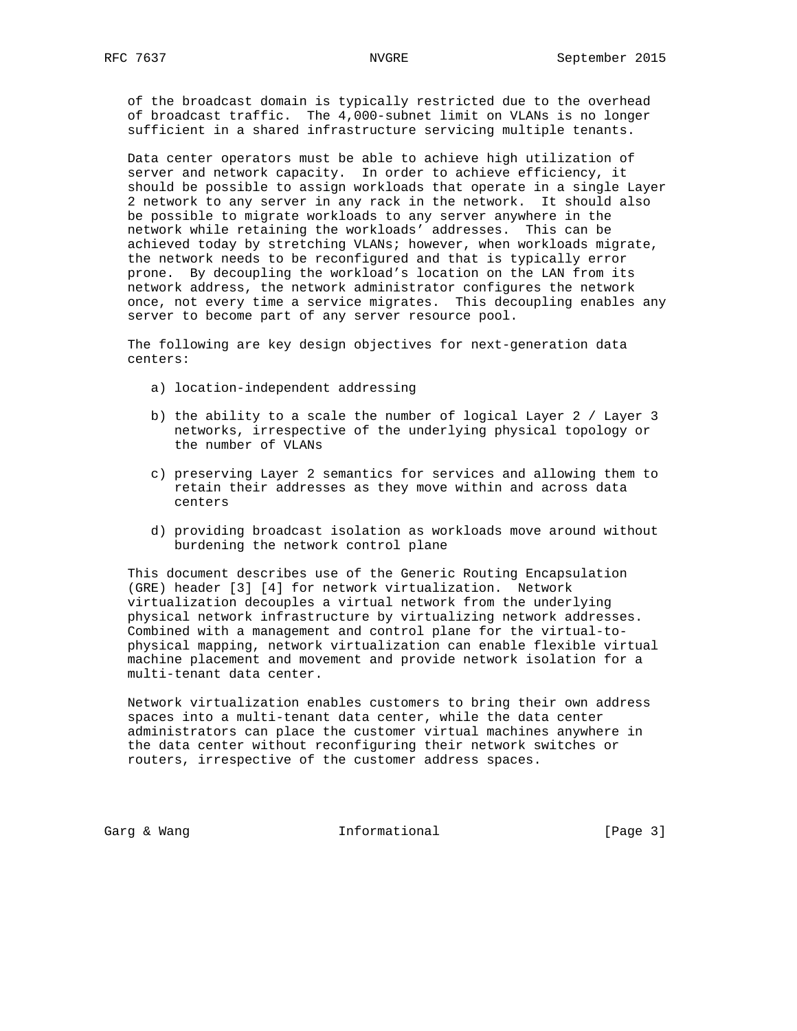of the broadcast domain is typically restricted due to the overhead of broadcast traffic. The 4,000-subnet limit on VLANs is no longer sufficient in a shared infrastructure servicing multiple tenants.

 Data center operators must be able to achieve high utilization of server and network capacity. In order to achieve efficiency, it should be possible to assign workloads that operate in a single Layer 2 network to any server in any rack in the network. It should also be possible to migrate workloads to any server anywhere in the network while retaining the workloads' addresses. This can be achieved today by stretching VLANs; however, when workloads migrate, the network needs to be reconfigured and that is typically error prone. By decoupling the workload's location on the LAN from its network address, the network administrator configures the network once, not every time a service migrates. This decoupling enables any server to become part of any server resource pool.

 The following are key design objectives for next-generation data centers:

- a) location-independent addressing
- b) the ability to a scale the number of logical Layer 2 / Layer 3 networks, irrespective of the underlying physical topology or the number of VLANs
- c) preserving Layer 2 semantics for services and allowing them to retain their addresses as they move within and across data centers
- d) providing broadcast isolation as workloads move around without burdening the network control plane

 This document describes use of the Generic Routing Encapsulation (GRE) header [3] [4] for network virtualization. Network virtualization decouples a virtual network from the underlying physical network infrastructure by virtualizing network addresses. Combined with a management and control plane for the virtual-to physical mapping, network virtualization can enable flexible virtual machine placement and movement and provide network isolation for a multi-tenant data center.

 Network virtualization enables customers to bring their own address spaces into a multi-tenant data center, while the data center administrators can place the customer virtual machines anywhere in the data center without reconfiguring their network switches or routers, irrespective of the customer address spaces.

Garg & Wang  $\qquad \qquad$  Informational  $\qquad \qquad$  [Page 3]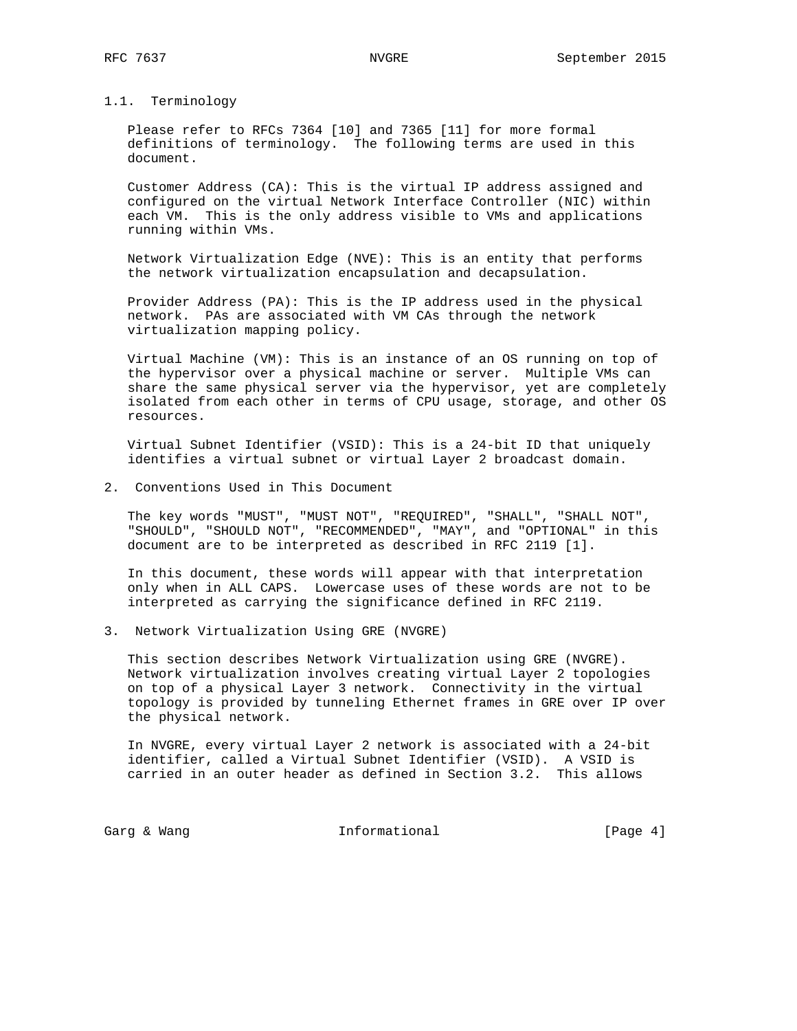# 1.1. Terminology

 Please refer to RFCs 7364 [10] and 7365 [11] for more formal definitions of terminology. The following terms are used in this document.

 Customer Address (CA): This is the virtual IP address assigned and configured on the virtual Network Interface Controller (NIC) within each VM. This is the only address visible to VMs and applications running within VMs.

 Network Virtualization Edge (NVE): This is an entity that performs the network virtualization encapsulation and decapsulation.

 Provider Address (PA): This is the IP address used in the physical network. PAs are associated with VM CAs through the network virtualization mapping policy.

 Virtual Machine (VM): This is an instance of an OS running on top of the hypervisor over a physical machine or server. Multiple VMs can share the same physical server via the hypervisor, yet are completely isolated from each other in terms of CPU usage, storage, and other OS resources.

 Virtual Subnet Identifier (VSID): This is a 24-bit ID that uniquely identifies a virtual subnet or virtual Layer 2 broadcast domain.

2. Conventions Used in This Document

 The key words "MUST", "MUST NOT", "REQUIRED", "SHALL", "SHALL NOT", "SHOULD", "SHOULD NOT", "RECOMMENDED", "MAY", and "OPTIONAL" in this document are to be interpreted as described in RFC 2119 [1].

 In this document, these words will appear with that interpretation only when in ALL CAPS. Lowercase uses of these words are not to be interpreted as carrying the significance defined in RFC 2119.

3. Network Virtualization Using GRE (NVGRE)

 This section describes Network Virtualization using GRE (NVGRE). Network virtualization involves creating virtual Layer 2 topologies on top of a physical Layer 3 network. Connectivity in the virtual topology is provided by tunneling Ethernet frames in GRE over IP over the physical network.

 In NVGRE, every virtual Layer 2 network is associated with a 24-bit identifier, called a Virtual Subnet Identifier (VSID). A VSID is carried in an outer header as defined in Section 3.2. This allows

Garg & Wang  $\qquad \qquad$  Informational  $\qquad \qquad$  [Page 4]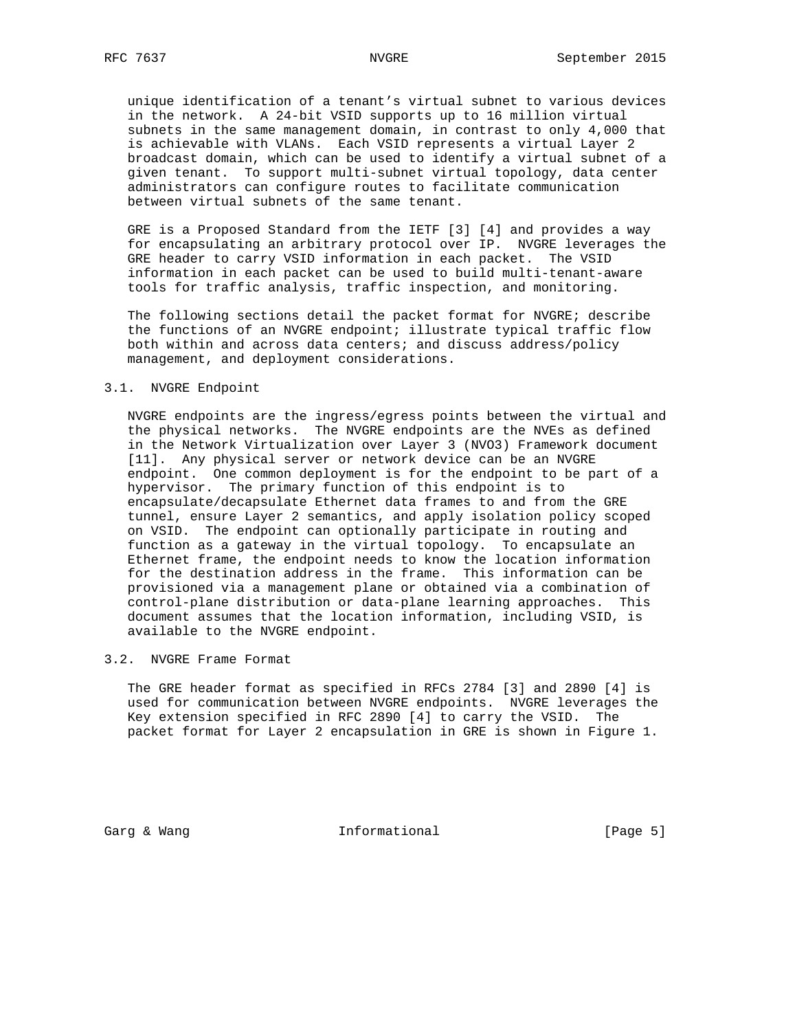unique identification of a tenant's virtual subnet to various devices in the network. A 24-bit VSID supports up to 16 million virtual subnets in the same management domain, in contrast to only 4,000 that is achievable with VLANs. Each VSID represents a virtual Layer 2 broadcast domain, which can be used to identify a virtual subnet of a given tenant. To support multi-subnet virtual topology, data center administrators can configure routes to facilitate communication between virtual subnets of the same tenant.

 GRE is a Proposed Standard from the IETF [3] [4] and provides a way for encapsulating an arbitrary protocol over IP. NVGRE leverages the GRE header to carry VSID information in each packet. The VSID information in each packet can be used to build multi-tenant-aware tools for traffic analysis, traffic inspection, and monitoring.

 The following sections detail the packet format for NVGRE; describe the functions of an NVGRE endpoint; illustrate typical traffic flow both within and across data centers; and discuss address/policy management, and deployment considerations.

# 3.1. NVGRE Endpoint

 NVGRE endpoints are the ingress/egress points between the virtual and the physical networks. The NVGRE endpoints are the NVEs as defined in the Network Virtualization over Layer 3 (NVO3) Framework document [11]. Any physical server or network device can be an NVGRE endpoint. One common deployment is for the endpoint to be part of a hypervisor. The primary function of this endpoint is to encapsulate/decapsulate Ethernet data frames to and from the GRE tunnel, ensure Layer 2 semantics, and apply isolation policy scoped on VSID. The endpoint can optionally participate in routing and function as a gateway in the virtual topology. To encapsulate an Ethernet frame, the endpoint needs to know the location information for the destination address in the frame. This information can be provisioned via a management plane or obtained via a combination of control-plane distribution or data-plane learning approaches. This document assumes that the location information, including VSID, is available to the NVGRE endpoint.

### 3.2. NVGRE Frame Format

 The GRE header format as specified in RFCs 2784 [3] and 2890 [4] is used for communication between NVGRE endpoints. NVGRE leverages the Key extension specified in RFC 2890 [4] to carry the VSID. The packet format for Layer 2 encapsulation in GRE is shown in Figure 1.

Garg & Wang  $\qquad \qquad$  Informational  $\qquad \qquad$  [Page 5]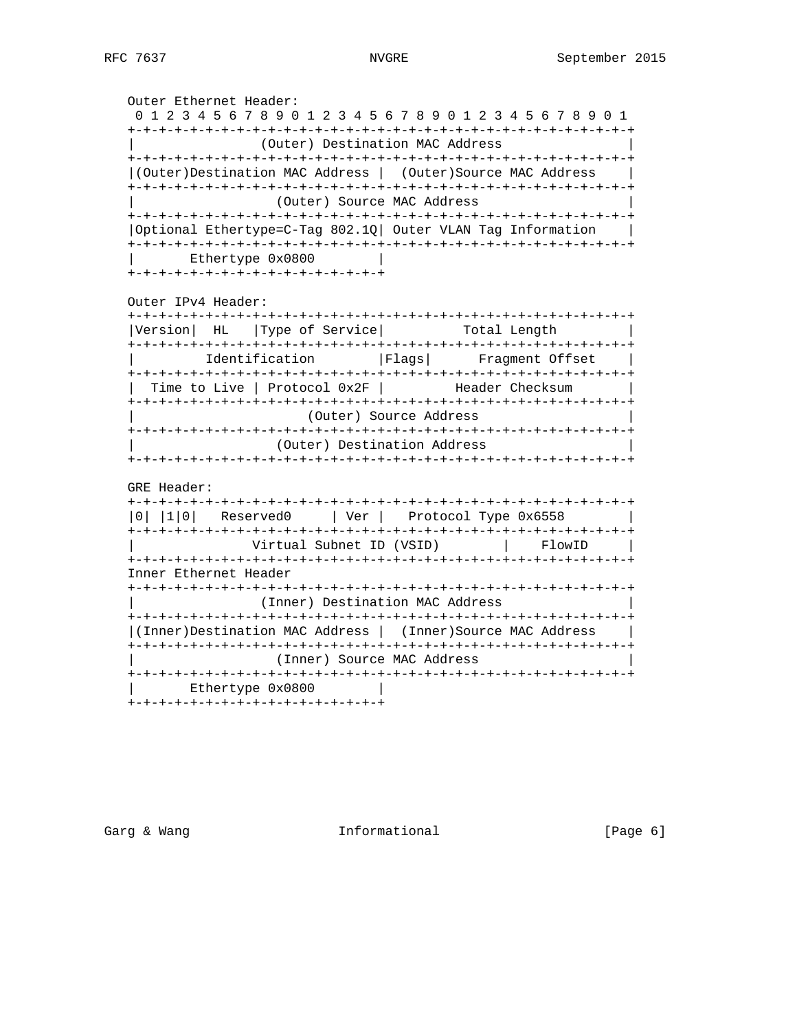Outer Ethernet Header: 0 1 2 3 4 5 6 7 8 9 0 1 2 3 4 5 6 7 8 9 0 1 2 3 4 5 6 7 8 9 0 1 +-+-+-+-+-+-+-+-+-+-+-+-+-+-+-+-+-+-+-+-+-+-+-+-+-+-+-+-+-+-+-+-+ (Outer) Destination MAC Address +-+-+-+-+-+-+-+-+-+-+-+-+-+-+-+-+-+-+-+-+-+-+-+-+-+-+-+-+-+-+-+-+ |(Outer)Destination MAC Address | (Outer)Source MAC Address | +-+-+-+-+-+-+-+-+-+-+-+-+-+-+-+-+-+-+-+-+-+-+-+-+-+-+-+-+-+-+-+-+ (Outer) Source MAC Address +-+-+-+-+-+-+-+-+-+-+-+-+-+-+-+-+-+-+-+-+-+-+-+-+-+-+-+-+-+-+-+-+ |Optional Ethertype=C-Tag 802.1Q| Outer VLAN Tag Information | +-+-+-+-+-+-+-+-+-+-+-+-+-+-+-+-+-+-+-+-+-+-+-+-+-+-+-+-+-+-+-+-+ Ethertype 0x0800 +-+-+-+-+-+-+-+-+-+-+-+-+-+-+-+-+ Outer IPv4 Header: +-+-+-+-+-+-+-+-+-+-+-+-+-+-+-+-+-+-+-+-+-+-+-+-+-+-+-+-+-+-+-+-+ |Version| HL |Type of Service| Total Length | +-+-+-+-+-+-+-+-+-+-+-+-+-+-+-+-+-+-+-+-+-+-+-+-+-+-+-+-+-+-+-+-+ | Identification |Flags| Fragment Offset | +-+-+-+-+-+-+-+-+-+-+-+-+-+-+-+-+-+-+-+-+-+-+-+-+-+-+-+-+-+-+-+-+ | Time to Live | Protocol 0x2F | Header Checksum +-+-+-+-+-+-+-+-+-+-+-+-+-+-+-+-+-+-+-+-+-+-+-+-+-+-+-+-+-+-+-+-+ (Outer) Source Address +-+-+-+-+-+-+-+-+-+-+-+-+-+-+-+-+-+-+-+-+-+-+-+-+-+-+-+-+-+-+-+-+ (Outer) Destination Address +-+-+-+-+-+-+-+-+-+-+-+-+-+-+-+-+-+-+-+-+-+-+-+-+-+-+-+-+-+-+-+-+ GRE Header: +-+-+-+-+-+-+-+-+-+-+-+-+-+-+-+-+-+-+-+-+-+-+-+-+-+-+-+-+-+-+-+-+ |0| |1|0| Reserved0 | Ver | Protocol Type 0x6558 | +-+-+-+-+-+-+-+-+-+-+-+-+-+-+-+-+-+-+-+-+-+-+-+-+-+-+-+-+-+-+-+-+ Virtual Subnet ID (VSID) +-+-+-+-+-+-+-+-+-+-+-+-+-+-+-+-+-+-+-+-+-+-+-+-+-+-+-+-+-+-+-+-+ Inner Ethernet Header +-+-+-+-+-+-+-+-+-+-+-+-+-+-+-+-+-+-+-+-+-+-+-+-+-+-+-+-+-+-+-+-+ (Inner) Destination MAC Address +-+-+-+-+-+-+-+-+-+-+-+-+-+-+-+-+-+-+-+-+-+-+-+-+-+-+-+-+-+-+-+-+ |(Inner)Destination MAC Address | (Inner)Source MAC Address | +-+-+-+-+-+-+-+-+-+-+-+-+-+-+-+-+-+-+-+-+-+-+-+-+-+-+-+-+-+-+-+-+ (Inner) Source MAC Address +-+-+-+-+-+-+-+-+-+-+-+-+-+-+-+-+-+-+-+-+-+-+-+-+-+-+-+-+-+-+-+-+

| Ethertype 0x0800 |

+-+-+-+-+-+-+-+-+-+-+-+-+-+-+-+-+

Garg & Wang  $\qquad \qquad$  Informational  $\qquad \qquad$  [Page 6]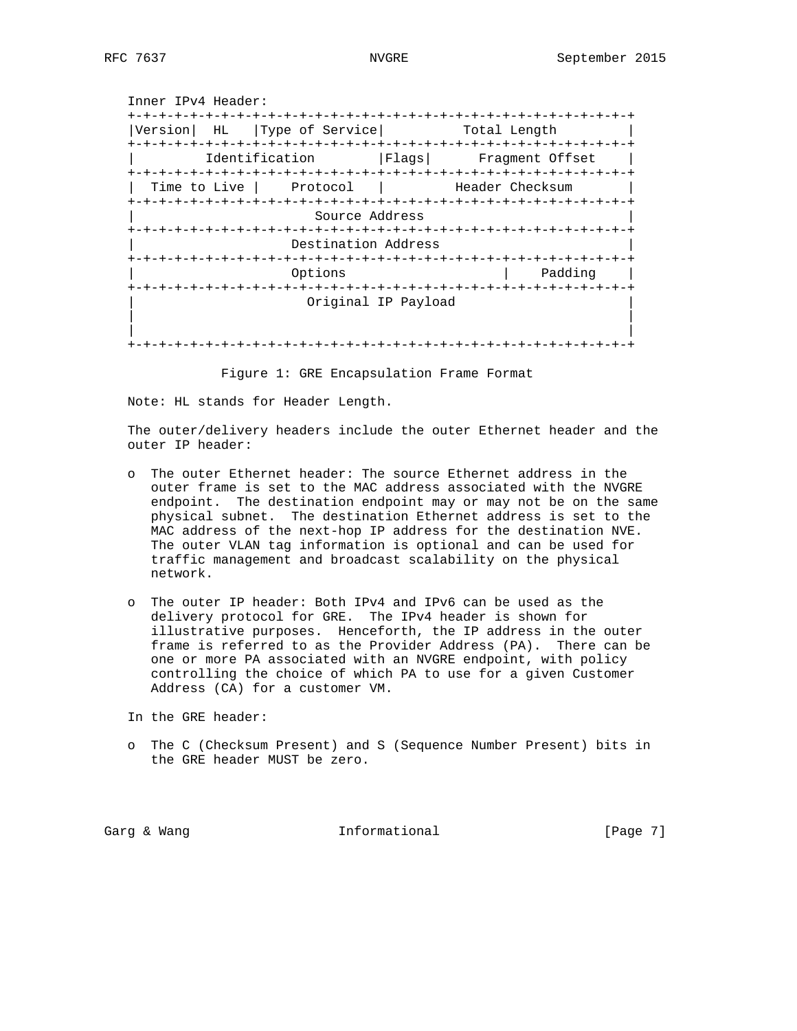Inner IPv4 Header: +-+-+-+-+-+-+-+-+-+-+-+-+-+-+-+-+-+-+-+-+-+-+-+-+-+-+-+-+-+-+-+-+ |Version| HL |Type of Service| Total Length | +-+-+-+-+-+-+-+-+-+-+-+-+-+-+-+-+-+-+-+-+-+-+-+-+-+-+-+-+-+-+-+-+ | Identification |Flags| Fragment Offset | +-+-+-+-+-+-+-+-+-+-+-+-+-+-+-+-+-+-+-+-+-+-+-+-+-+-+-+-+-+-+-+-+ | Time to Live | Protocol | Header Checksum +-+-+-+-+-+-+-+-+-+-+-+-+-+-+-+-+-+-+-+-+-+-+-+-+-+-+-+-+-+-+-+-+ Source Address +-+-+-+-+-+-+-+-+-+-+-+-+-+-+-+-+-+-+-+-+-+-+-+-+-+-+-+-+-+-+-+-+ Destination Address +-+-+-+-+-+-+-+-+-+-+-+-+-+-+-+-+-+-+-+-+-+-+-+-+-+-+-+-+-+-+-+-+ Options | Padding +-+-+-+-+-+-+-+-+-+-+-+-+-+-+-+-+-+-+-+-+-+-+-+-+-+-+-+-+-+-+-+-+ | Original IP Payload | | | | | +-+-+-+-+-+-+-+-+-+-+-+-+-+-+-+-+-+-+-+-+-+-+-+-+-+-+-+-+-+-+-+-+

Figure 1: GRE Encapsulation Frame Format

Note: HL stands for Header Length.

 The outer/delivery headers include the outer Ethernet header and the outer IP header:

- o The outer Ethernet header: The source Ethernet address in the outer frame is set to the MAC address associated with the NVGRE endpoint. The destination endpoint may or may not be on the same physical subnet. The destination Ethernet address is set to the MAC address of the next-hop IP address for the destination NVE. The outer VLAN tag information is optional and can be used for traffic management and broadcast scalability on the physical network.
- o The outer IP header: Both IPv4 and IPv6 can be used as the delivery protocol for GRE. The IPv4 header is shown for illustrative purposes. Henceforth, the IP address in the outer frame is referred to as the Provider Address (PA). There can be one or more PA associated with an NVGRE endpoint, with policy controlling the choice of which PA to use for a given Customer Address (CA) for a customer VM.

In the GRE header:

 o The C (Checksum Present) and S (Sequence Number Present) bits in the GRE header MUST be zero.

Garg & Wang  $\qquad \qquad$  Informational  $\qquad \qquad$  [Page 7]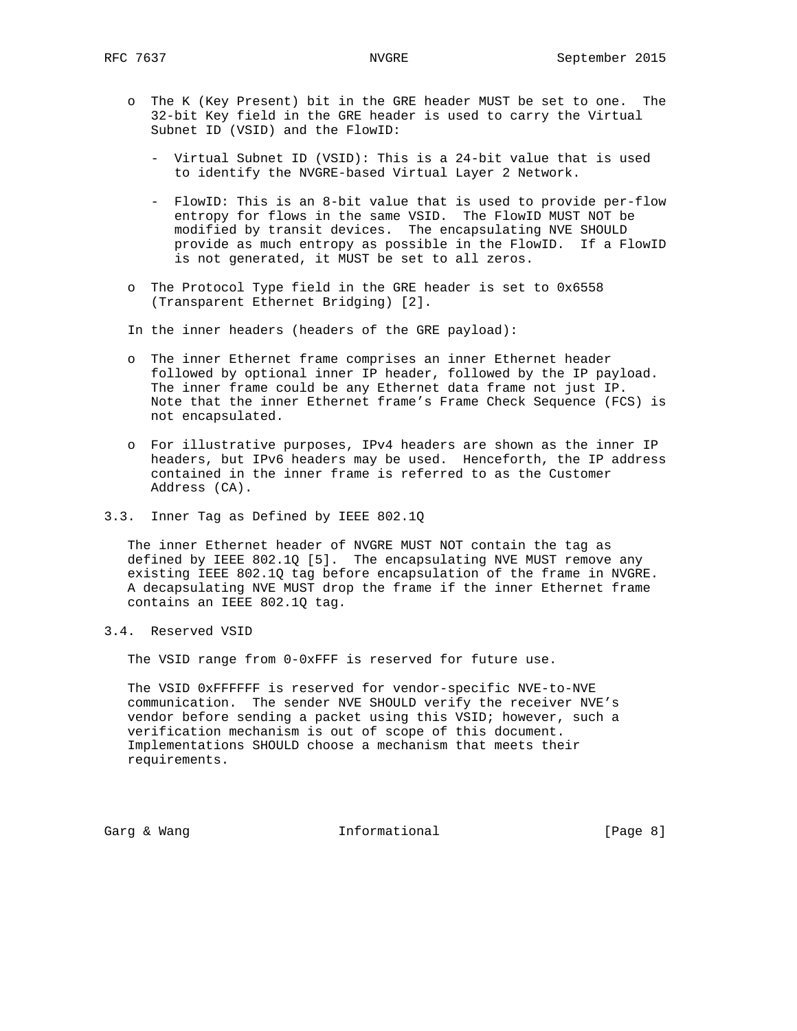- o The K (Key Present) bit in the GRE header MUST be set to one. The 32-bit Key field in the GRE header is used to carry the Virtual Subnet ID (VSID) and the FlowID:
	- Virtual Subnet ID (VSID): This is a 24-bit value that is used to identify the NVGRE-based Virtual Layer 2 Network.
	- FlowID: This is an 8-bit value that is used to provide per-flow entropy for flows in the same VSID. The FlowID MUST NOT be modified by transit devices. The encapsulating NVE SHOULD provide as much entropy as possible in the FlowID. If a FlowID is not generated, it MUST be set to all zeros.
- o The Protocol Type field in the GRE header is set to 0x6558 (Transparent Ethernet Bridging) [2].

In the inner headers (headers of the GRE payload):

- o The inner Ethernet frame comprises an inner Ethernet header followed by optional inner IP header, followed by the IP payload. The inner frame could be any Ethernet data frame not just IP. Note that the inner Ethernet frame's Frame Check Sequence (FCS) is not encapsulated.
- o For illustrative purposes, IPv4 headers are shown as the inner IP headers, but IPv6 headers may be used. Henceforth, the IP address contained in the inner frame is referred to as the Customer Address (CA).
- 3.3. Inner Tag as Defined by IEEE 802.1Q

 The inner Ethernet header of NVGRE MUST NOT contain the tag as defined by IEEE 802.1Q [5]. The encapsulating NVE MUST remove any existing IEEE 802.1Q tag before encapsulation of the frame in NVGRE. A decapsulating NVE MUST drop the frame if the inner Ethernet frame contains an IEEE 802.1Q tag.

3.4. Reserved VSID

The VSID range from 0-0xFFF is reserved for future use.

 The VSID 0xFFFFFF is reserved for vendor-specific NVE-to-NVE communication. The sender NVE SHOULD verify the receiver NVE's vendor before sending a packet using this VSID; however, such a verification mechanism is out of scope of this document. Implementations SHOULD choose a mechanism that meets their requirements.

Garg & Wang  $\qquad \qquad$  Informational  $\qquad \qquad$  [Page 8]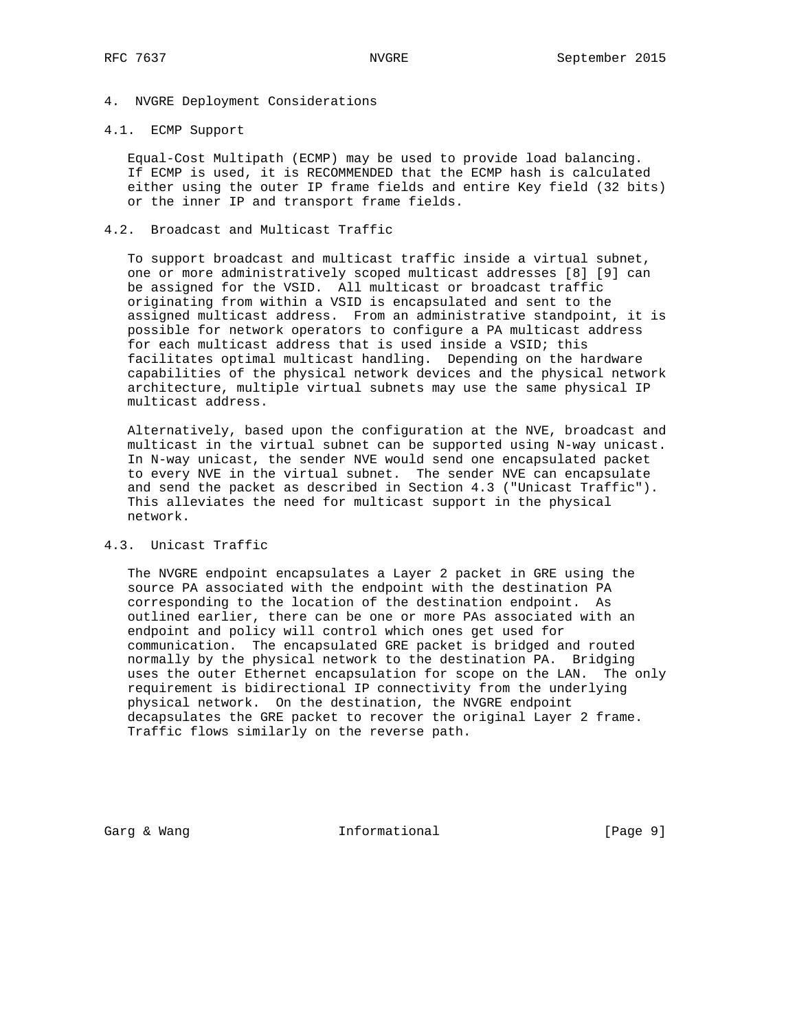# 4. NVGRE Deployment Considerations

# 4.1. ECMP Support

 Equal-Cost Multipath (ECMP) may be used to provide load balancing. If ECMP is used, it is RECOMMENDED that the ECMP hash is calculated either using the outer IP frame fields and entire Key field (32 bits) or the inner IP and transport frame fields.

# 4.2. Broadcast and Multicast Traffic

 To support broadcast and multicast traffic inside a virtual subnet, one or more administratively scoped multicast addresses [8] [9] can be assigned for the VSID. All multicast or broadcast traffic originating from within a VSID is encapsulated and sent to the assigned multicast address. From an administrative standpoint, it is possible for network operators to configure a PA multicast address for each multicast address that is used inside a VSID; this facilitates optimal multicast handling. Depending on the hardware capabilities of the physical network devices and the physical network architecture, multiple virtual subnets may use the same physical IP multicast address.

 Alternatively, based upon the configuration at the NVE, broadcast and multicast in the virtual subnet can be supported using N-way unicast. In N-way unicast, the sender NVE would send one encapsulated packet to every NVE in the virtual subnet. The sender NVE can encapsulate and send the packet as described in Section 4.3 ("Unicast Traffic"). This alleviates the need for multicast support in the physical network.

### 4.3. Unicast Traffic

 The NVGRE endpoint encapsulates a Layer 2 packet in GRE using the source PA associated with the endpoint with the destination PA corresponding to the location of the destination endpoint. As outlined earlier, there can be one or more PAs associated with an endpoint and policy will control which ones get used for communication. The encapsulated GRE packet is bridged and routed normally by the physical network to the destination PA. Bridging uses the outer Ethernet encapsulation for scope on the LAN. The only requirement is bidirectional IP connectivity from the underlying physical network. On the destination, the NVGRE endpoint decapsulates the GRE packet to recover the original Layer 2 frame. Traffic flows similarly on the reverse path.

Garg & Wang  $\qquad \qquad$  Informational  $\qquad \qquad$  [Page 9]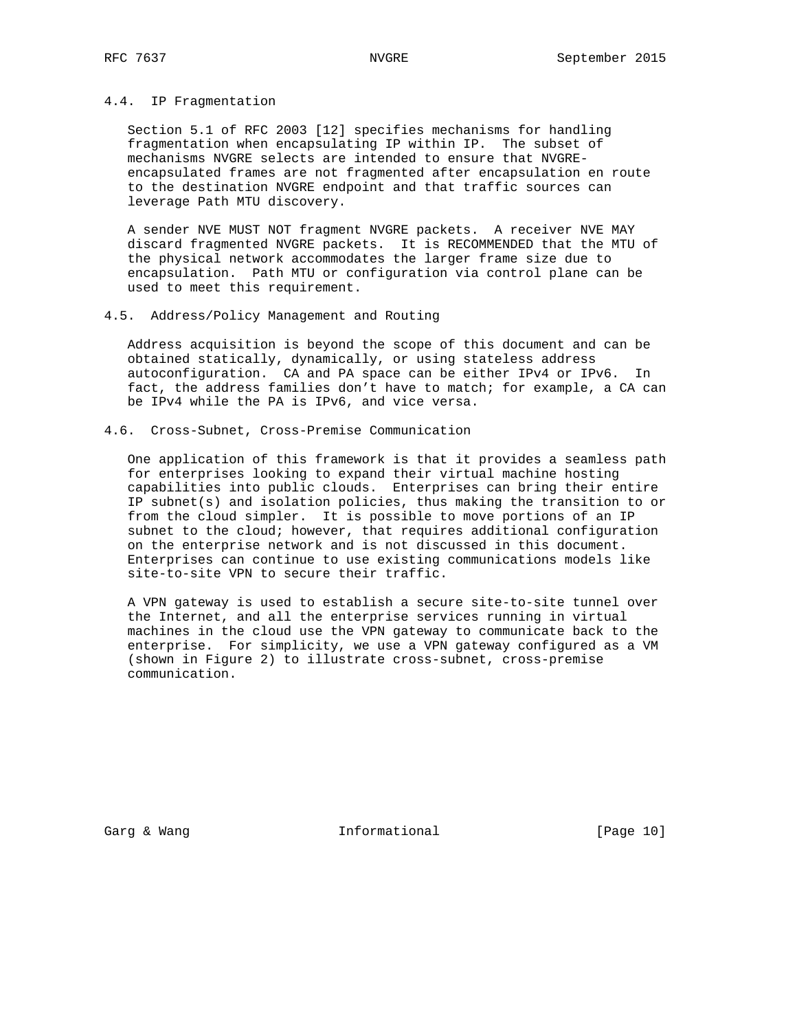## 4.4. IP Fragmentation

 Section 5.1 of RFC 2003 [12] specifies mechanisms for handling fragmentation when encapsulating IP within IP. The subset of mechanisms NVGRE selects are intended to ensure that NVGRE encapsulated frames are not fragmented after encapsulation en route to the destination NVGRE endpoint and that traffic sources can leverage Path MTU discovery.

 A sender NVE MUST NOT fragment NVGRE packets. A receiver NVE MAY discard fragmented NVGRE packets. It is RECOMMENDED that the MTU of the physical network accommodates the larger frame size due to encapsulation. Path MTU or configuration via control plane can be used to meet this requirement.

# 4.5. Address/Policy Management and Routing

 Address acquisition is beyond the scope of this document and can be obtained statically, dynamically, or using stateless address autoconfiguration. CA and PA space can be either IPv4 or IPv6. In fact, the address families don't have to match; for example, a CA can be IPv4 while the PA is IPv6, and vice versa.

4.6. Cross-Subnet, Cross-Premise Communication

 One application of this framework is that it provides a seamless path for enterprises looking to expand their virtual machine hosting capabilities into public clouds. Enterprises can bring their entire IP subnet(s) and isolation policies, thus making the transition to or from the cloud simpler. It is possible to move portions of an IP subnet to the cloud; however, that requires additional configuration on the enterprise network and is not discussed in this document. Enterprises can continue to use existing communications models like site-to-site VPN to secure their traffic.

 A VPN gateway is used to establish a secure site-to-site tunnel over the Internet, and all the enterprise services running in virtual machines in the cloud use the VPN gateway to communicate back to the enterprise. For simplicity, we use a VPN gateway configured as a VM (shown in Figure 2) to illustrate cross-subnet, cross-premise communication.

Garg & Wang  $\qquad \qquad$  Informational [Page 10]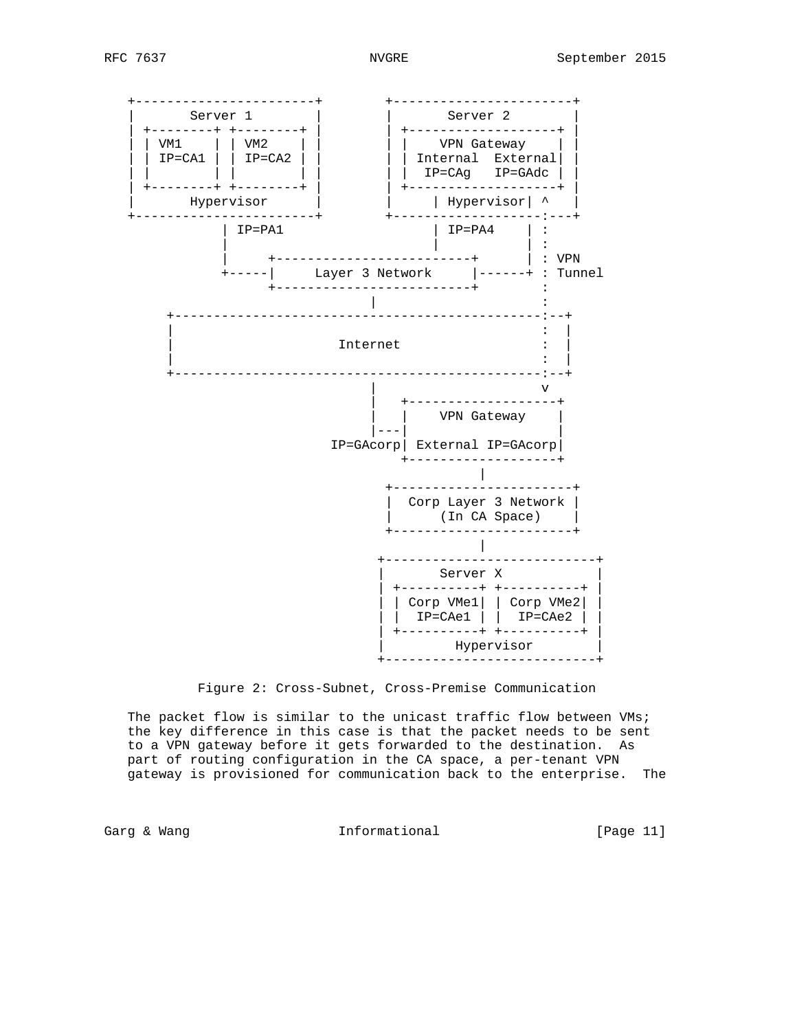

Figure 2: Cross-Subnet, Cross-Premise Communication

 The packet flow is similar to the unicast traffic flow between VMs; the key difference in this case is that the packet needs to be sent to a VPN gateway before it gets forwarded to the destination. As part of routing configuration in the CA space, a per-tenant VPN gateway is provisioned for communication back to the enterprise. The

Garg & Wang Thermational Garg & Wang Informational Theory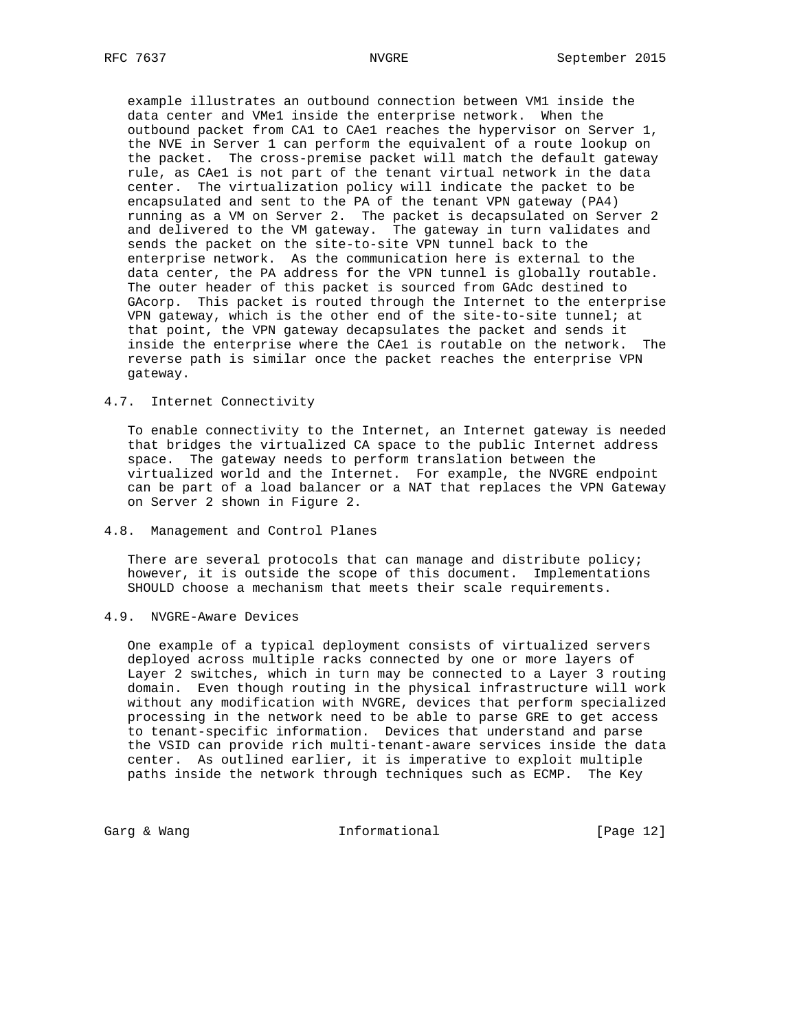example illustrates an outbound connection between VM1 inside the data center and VMe1 inside the enterprise network. When the outbound packet from CA1 to CAe1 reaches the hypervisor on Server 1, the NVE in Server 1 can perform the equivalent of a route lookup on the packet. The cross-premise packet will match the default gateway rule, as CAe1 is not part of the tenant virtual network in the data center. The virtualization policy will indicate the packet to be encapsulated and sent to the PA of the tenant VPN gateway (PA4) running as a VM on Server 2. The packet is decapsulated on Server 2 and delivered to the VM gateway. The gateway in turn validates and sends the packet on the site-to-site VPN tunnel back to the enterprise network. As the communication here is external to the data center, the PA address for the VPN tunnel is globally routable. The outer header of this packet is sourced from GAdc destined to GAcorp. This packet is routed through the Internet to the enterprise VPN gateway, which is the other end of the site-to-site tunnel; at that point, the VPN gateway decapsulates the packet and sends it inside the enterprise where the CAe1 is routable on the network. The reverse path is similar once the packet reaches the enterprise VPN gateway.

# 4.7. Internet Connectivity

 To enable connectivity to the Internet, an Internet gateway is needed that bridges the virtualized CA space to the public Internet address space. The gateway needs to perform translation between the virtualized world and the Internet. For example, the NVGRE endpoint can be part of a load balancer or a NAT that replaces the VPN Gateway on Server 2 shown in Figure 2.

# 4.8. Management and Control Planes

There are several protocols that can manage and distribute policy; however, it is outside the scope of this document. Implementations SHOULD choose a mechanism that meets their scale requirements.

4.9. NVGRE-Aware Devices

 One example of a typical deployment consists of virtualized servers deployed across multiple racks connected by one or more layers of Layer 2 switches, which in turn may be connected to a Layer 3 routing domain. Even though routing in the physical infrastructure will work without any modification with NVGRE, devices that perform specialized processing in the network need to be able to parse GRE to get access to tenant-specific information. Devices that understand and parse the VSID can provide rich multi-tenant-aware services inside the data center. As outlined earlier, it is imperative to exploit multiple paths inside the network through techniques such as ECMP. The Key

Garg & Wang  $Informal$  Informational [Page 12]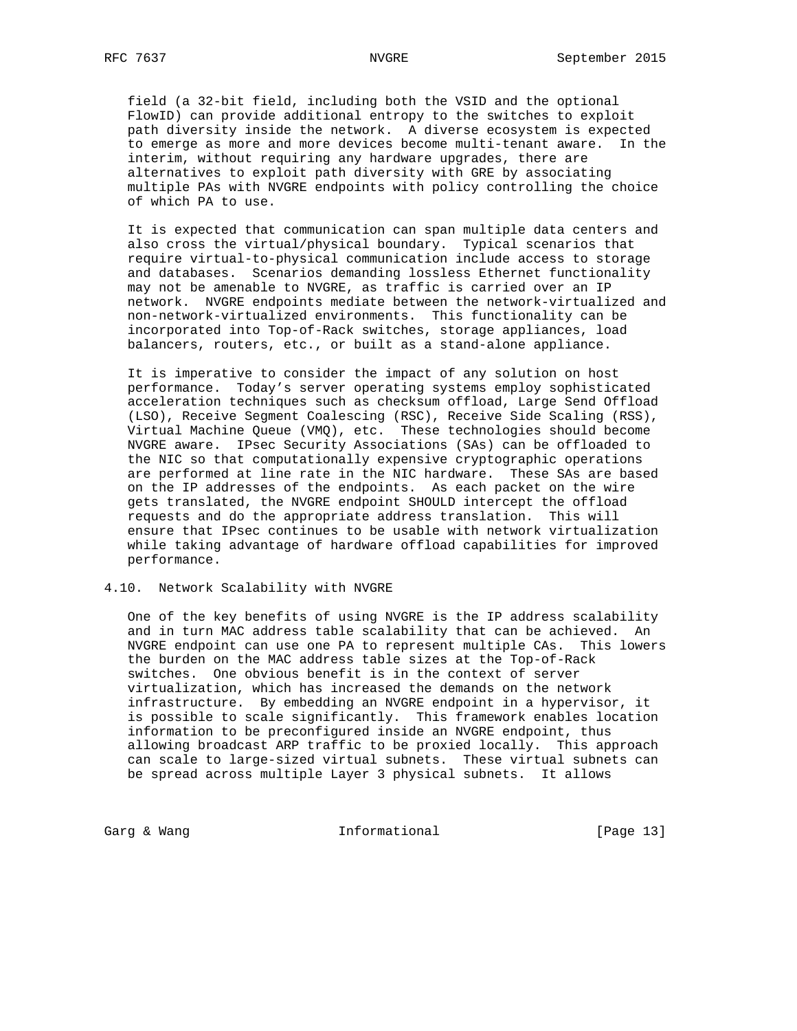field (a 32-bit field, including both the VSID and the optional FlowID) can provide additional entropy to the switches to exploit path diversity inside the network. A diverse ecosystem is expected to emerge as more and more devices become multi-tenant aware. In the interim, without requiring any hardware upgrades, there are alternatives to exploit path diversity with GRE by associating multiple PAs with NVGRE endpoints with policy controlling the choice of which PA to use.

 It is expected that communication can span multiple data centers and also cross the virtual/physical boundary. Typical scenarios that require virtual-to-physical communication include access to storage and databases. Scenarios demanding lossless Ethernet functionality may not be amenable to NVGRE, as traffic is carried over an IP network. NVGRE endpoints mediate between the network-virtualized and non-network-virtualized environments. This functionality can be incorporated into Top-of-Rack switches, storage appliances, load balancers, routers, etc., or built as a stand-alone appliance.

 It is imperative to consider the impact of any solution on host performance. Today's server operating systems employ sophisticated acceleration techniques such as checksum offload, Large Send Offload (LSO), Receive Segment Coalescing (RSC), Receive Side Scaling (RSS), Virtual Machine Queue (VMQ), etc. These technologies should become NVGRE aware. IPsec Security Associations (SAs) can be offloaded to the NIC so that computationally expensive cryptographic operations are performed at line rate in the NIC hardware. These SAs are based on the IP addresses of the endpoints. As each packet on the wire gets translated, the NVGRE endpoint SHOULD intercept the offload requests and do the appropriate address translation. This will ensure that IPsec continues to be usable with network virtualization while taking advantage of hardware offload capabilities for improved performance.

# 4.10. Network Scalability with NVGRE

 One of the key benefits of using NVGRE is the IP address scalability and in turn MAC address table scalability that can be achieved. An NVGRE endpoint can use one PA to represent multiple CAs. This lowers the burden on the MAC address table sizes at the Top-of-Rack switches. One obvious benefit is in the context of server virtualization, which has increased the demands on the network infrastructure. By embedding an NVGRE endpoint in a hypervisor, it is possible to scale significantly. This framework enables location information to be preconfigured inside an NVGRE endpoint, thus allowing broadcast ARP traffic to be proxied locally. This approach can scale to large-sized virtual subnets. These virtual subnets can be spread across multiple Layer 3 physical subnets. It allows

Garg & Wang  $\qquad \qquad$  Informational [Page 13]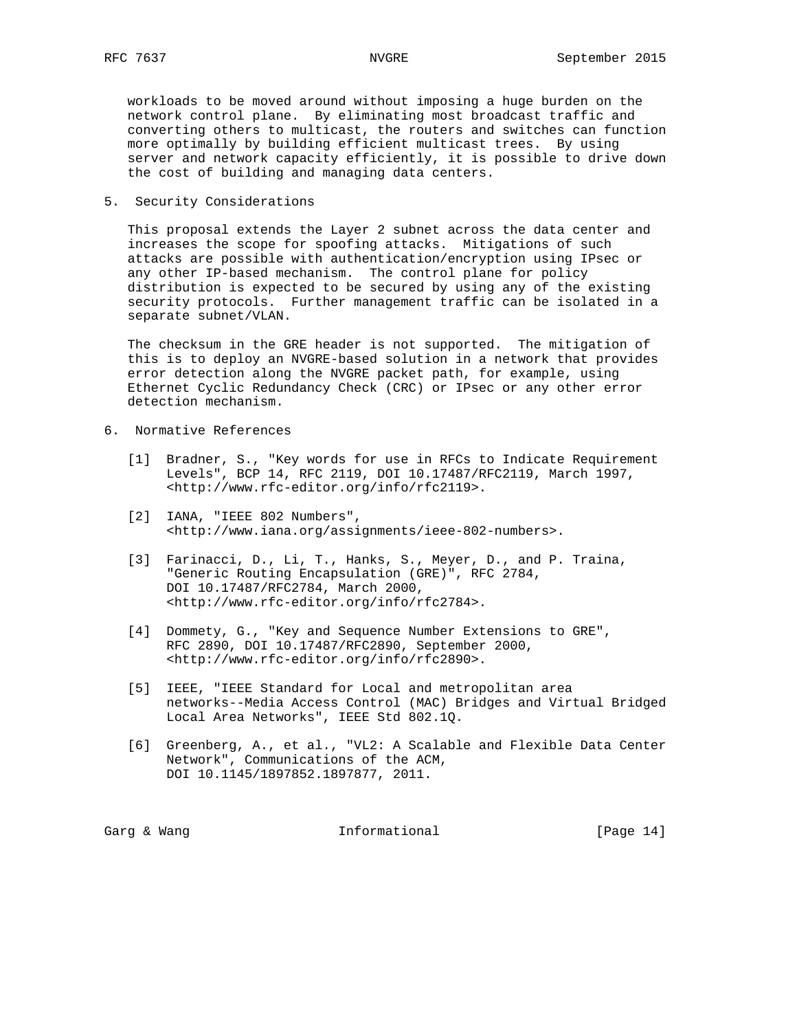workloads to be moved around without imposing a huge burden on the network control plane. By eliminating most broadcast traffic and converting others to multicast, the routers and switches can function more optimally by building efficient multicast trees. By using server and network capacity efficiently, it is possible to drive down the cost of building and managing data centers.

5. Security Considerations

 This proposal extends the Layer 2 subnet across the data center and increases the scope for spoofing attacks. Mitigations of such attacks are possible with authentication/encryption using IPsec or any other IP-based mechanism. The control plane for policy distribution is expected to be secured by using any of the existing security protocols. Further management traffic can be isolated in a separate subnet/VLAN.

 The checksum in the GRE header is not supported. The mitigation of this is to deploy an NVGRE-based solution in a network that provides error detection along the NVGRE packet path, for example, using Ethernet Cyclic Redundancy Check (CRC) or IPsec or any other error detection mechanism.

- 6. Normative References
	- [1] Bradner, S., "Key words for use in RFCs to Indicate Requirement Levels", BCP 14, RFC 2119, DOI 10.17487/RFC2119, March 1997, <http://www.rfc-editor.org/info/rfc2119>.
	- [2] IANA, "IEEE 802 Numbers", <http://www.iana.org/assignments/ieee-802-numbers>.
	- [3] Farinacci, D., Li, T., Hanks, S., Meyer, D., and P. Traina, "Generic Routing Encapsulation (GRE)", RFC 2784, DOI 10.17487/RFC2784, March 2000, <http://www.rfc-editor.org/info/rfc2784>.
	- [4] Dommety, G., "Key and Sequence Number Extensions to GRE", RFC 2890, DOI 10.17487/RFC2890, September 2000, <http://www.rfc-editor.org/info/rfc2890>.
	- [5] IEEE, "IEEE Standard for Local and metropolitan area networks--Media Access Control (MAC) Bridges and Virtual Bridged Local Area Networks", IEEE Std 802.1Q.
	- [6] Greenberg, A., et al., "VL2: A Scalable and Flexible Data Center Network", Communications of the ACM, DOI 10.1145/1897852.1897877, 2011.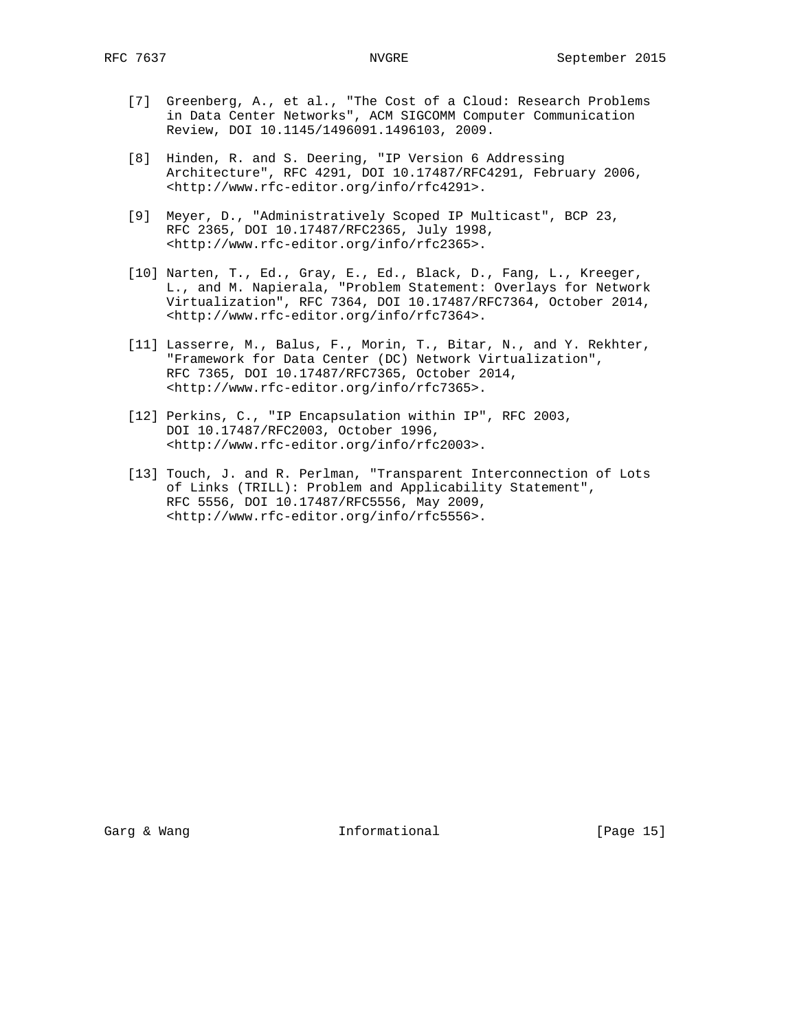- [7] Greenberg, A., et al., "The Cost of a Cloud: Research Problems in Data Center Networks", ACM SIGCOMM Computer Communication Review, DOI 10.1145/1496091.1496103, 2009.
- [8] Hinden, R. and S. Deering, "IP Version 6 Addressing Architecture", RFC 4291, DOI 10.17487/RFC4291, February 2006, <http://www.rfc-editor.org/info/rfc4291>.
- [9] Meyer, D., "Administratively Scoped IP Multicast", BCP 23, RFC 2365, DOI 10.17487/RFC2365, July 1998, <http://www.rfc-editor.org/info/rfc2365>.
- [10] Narten, T., Ed., Gray, E., Ed., Black, D., Fang, L., Kreeger, L., and M. Napierala, "Problem Statement: Overlays for Network Virtualization", RFC 7364, DOI 10.17487/RFC7364, October 2014, <http://www.rfc-editor.org/info/rfc7364>.
- [11] Lasserre, M., Balus, F., Morin, T., Bitar, N., and Y. Rekhter, "Framework for Data Center (DC) Network Virtualization", RFC 7365, DOI 10.17487/RFC7365, October 2014, <http://www.rfc-editor.org/info/rfc7365>.
- [12] Perkins, C., "IP Encapsulation within IP", RFC 2003, DOI 10.17487/RFC2003, October 1996, <http://www.rfc-editor.org/info/rfc2003>.
- [13] Touch, J. and R. Perlman, "Transparent Interconnection of Lots of Links (TRILL): Problem and Applicability Statement", RFC 5556, DOI 10.17487/RFC5556, May 2009, <http://www.rfc-editor.org/info/rfc5556>.

Garg & Wang  $\qquad \qquad$  Informational [Page 15]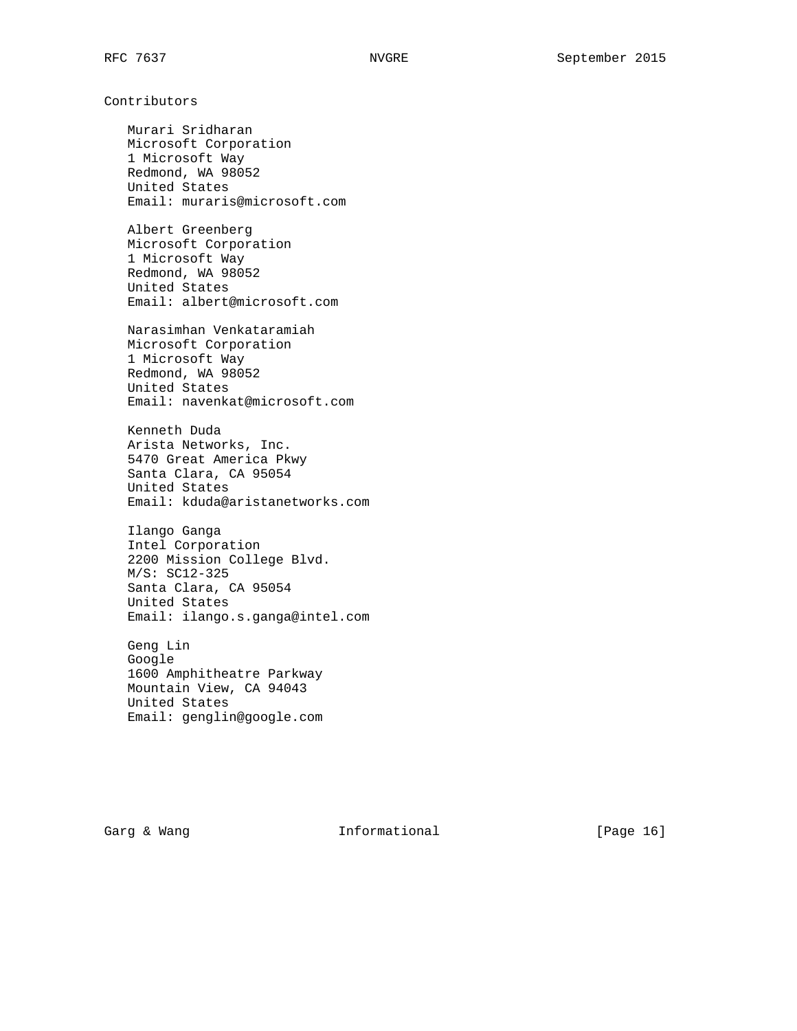# Contributors

 Murari Sridharan Microsoft Corporation 1 Microsoft Way Redmond, WA 98052 United States Email: muraris@microsoft.com

 Albert Greenberg Microsoft Corporation 1 Microsoft Way Redmond, WA 98052 United States Email: albert@microsoft.com

 Narasimhan Venkataramiah Microsoft Corporation 1 Microsoft Way Redmond, WA 98052 United States Email: navenkat@microsoft.com

 Kenneth Duda Arista Networks, Inc. 5470 Great America Pkwy Santa Clara, CA 95054 United States Email: kduda@aristanetworks.com

 Ilango Ganga Intel Corporation 2200 Mission College Blvd. M/S: SC12-325 Santa Clara, CA 95054 United States Email: ilango.s.ganga@intel.com

 Geng Lin Google 1600 Amphitheatre Parkway Mountain View, CA 94043 United States Email: genglin@google.com

Garg & Wang  $I_n$  Informational [Page 16]